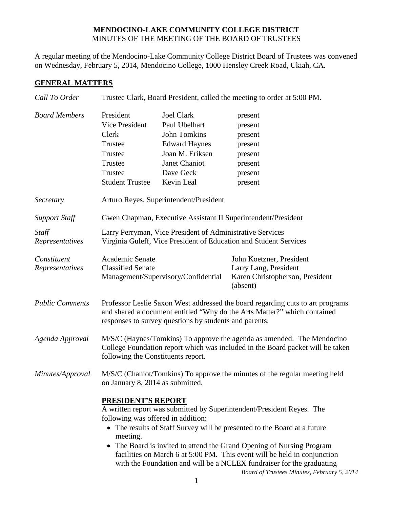## **MENDOCINO-LAKE COMMUNITY COLLEGE DISTRICT** MINUTES OF THE MEETING OF THE BOARD OF TRUSTEES

A regular meeting of the Mendocino-Lake Community College District Board of Trustees was convened on Wednesday, February 5, 2014, Mendocino College, 1000 Hensley Creek Road, Ukiah, CA.

## **GENERAL MATTERS**

| Call To Order                  | Trustee Clark, Board President, called the meeting to order at 5:00 PM.                                                                                                                                                                                                                                                                                                                                                                                                 |                                                                                                                                           |                                                                                                  |  |
|--------------------------------|-------------------------------------------------------------------------------------------------------------------------------------------------------------------------------------------------------------------------------------------------------------------------------------------------------------------------------------------------------------------------------------------------------------------------------------------------------------------------|-------------------------------------------------------------------------------------------------------------------------------------------|--------------------------------------------------------------------------------------------------|--|
| <b>Board Members</b>           | President<br>Vice President<br>Clerk<br>Trustee<br>Trustee<br>Trustee<br>Trustee<br><b>Student Trustee</b>                                                                                                                                                                                                                                                                                                                                                              | <b>Joel Clark</b><br>Paul Ubelhart<br>John Tomkins<br><b>Edward Haynes</b><br>Joan M. Eriksen<br>Janet Chaniot<br>Dave Geck<br>Kevin Leal | present<br>present<br>present<br>present<br>present<br>present<br>present<br>present             |  |
| Secretary                      | Arturo Reyes, Superintendent/President                                                                                                                                                                                                                                                                                                                                                                                                                                  |                                                                                                                                           |                                                                                                  |  |
| <b>Support Staff</b>           | Gwen Chapman, Executive Assistant II Superintendent/President                                                                                                                                                                                                                                                                                                                                                                                                           |                                                                                                                                           |                                                                                                  |  |
| Staff<br>Representatives       | Larry Perryman, Vice President of Administrative Services<br>Virginia Guleff, Vice President of Education and Student Services                                                                                                                                                                                                                                                                                                                                          |                                                                                                                                           |                                                                                                  |  |
| Constituent<br>Representatives | Academic Senate<br><b>Classified Senate</b>                                                                                                                                                                                                                                                                                                                                                                                                                             | Management/Supervisory/Confidential                                                                                                       | John Koetzner, President<br>Larry Lang, President<br>Karen Christopherson, President<br>(absent) |  |
| <b>Public Comments</b>         | Professor Leslie Saxon West addressed the board regarding cuts to art programs<br>and shared a document entitled "Why do the Arts Matter?" which contained<br>responses to survey questions by students and parents.                                                                                                                                                                                                                                                    |                                                                                                                                           |                                                                                                  |  |
| Agenda Approval                | M/S/C (Haynes/Tomkins) To approve the agenda as amended. The Mendocino<br>College Foundation report which was included in the Board packet will be taken<br>following the Constituents report.                                                                                                                                                                                                                                                                          |                                                                                                                                           |                                                                                                  |  |
| Minutes/Approval               | M/S/C (Chaniot/Tomkins) To approve the minutes of the regular meeting held<br>on January 8, 2014 as submitted.                                                                                                                                                                                                                                                                                                                                                          |                                                                                                                                           |                                                                                                  |  |
|                                | <b>PRESIDENT'S REPORT</b><br>A written report was submitted by Superintendent/President Reyes. The<br>following was offered in addition:<br>The results of Staff Survey will be presented to the Board at a future<br>$\bullet$<br>meeting.<br>The Board is invited to attend the Grand Opening of Nursing Program<br>facilities on March 6 at 5:00 PM. This event will be held in conjunction<br>with the Foundation and will be a NCLEX fundraiser for the graduating |                                                                                                                                           |                                                                                                  |  |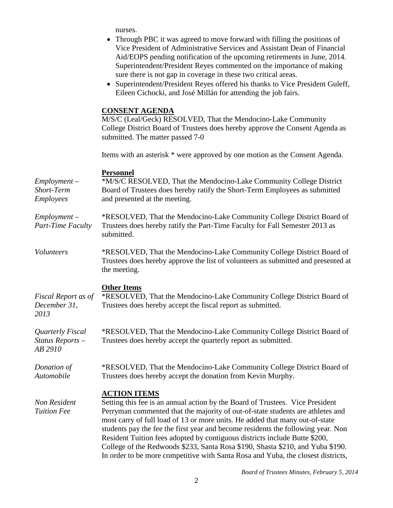nurses.

| • Through PBC it was agreed to move forward with filling the positions of |
|---------------------------------------------------------------------------|
| Vice President of Administrative Services and Assistant Dean of Financial |
| Aid/EOPS pending notification of the upcoming retirements in June, 2014.  |
| Superintendent/President Reyes commented on the importance of making      |
| sure there is not gap in coverage in these two critical areas.            |

• Superintendent/President Reyes offered his thanks to Vice President Guleff, Eileen Cichocki, and José Millán for attending the job fairs.

## **CONSENT AGENDA**

M/S/C (Leal/Geck) RESOLVED, That the Mendocino-Lake Community College District Board of Trustees does hereby approve the Consent Agenda as submitted. The matter passed 7-0

Items with an asterisk \* were approved by one motion as the Consent Agenda.

#### **Personnel**

| $Employment -$<br>Short-Term<br><b>Employees</b> | *M/S/C RESOLVED, That the Mendocino-Lake Community College District<br>Board of Trustees does hereby ratify the Short-Term Employees as submitted<br>and presented at the meeting.                                                                                                                                                                                                                                                                                                                                                                                                                             |
|--------------------------------------------------|----------------------------------------------------------------------------------------------------------------------------------------------------------------------------------------------------------------------------------------------------------------------------------------------------------------------------------------------------------------------------------------------------------------------------------------------------------------------------------------------------------------------------------------------------------------------------------------------------------------|
| $Employment -$<br>Part-Time Faculty              | *RESOLVED, That the Mendocino-Lake Community College District Board of<br>Trustees does hereby ratify the Part-Time Faculty for Fall Semester 2013 as<br>submitted.                                                                                                                                                                                                                                                                                                                                                                                                                                            |
| Volunteers                                       | *RESOLVED, That the Mendocino-Lake Community College District Board of<br>Trustees does hereby approve the list of volunteers as submitted and presented at<br>the meeting.                                                                                                                                                                                                                                                                                                                                                                                                                                    |
| Fiscal Report as of<br>December 31,<br>2013      | <b>Other Items</b><br>*RESOLVED, That the Mendocino-Lake Community College District Board of<br>Trustees does hereby accept the fiscal report as submitted.                                                                                                                                                                                                                                                                                                                                                                                                                                                    |
| Quarterly Fiscal<br>Status Reports -<br>AB 2910  | *RESOLVED, That the Mendocino-Lake Community College District Board of<br>Trustees does hereby accept the quarterly report as submitted.                                                                                                                                                                                                                                                                                                                                                                                                                                                                       |
| Donation of<br>Automobile                        | *RESOLVED, That the Mendocino-Lake Community College District Board of<br>Trustees does hereby accept the donation from Kevin Murphy.                                                                                                                                                                                                                                                                                                                                                                                                                                                                          |
| Non Resident<br><b>Tuition Fee</b>               | <b>ACTION ITEMS</b><br>Setting this fee is an annual action by the Board of Trustees. Vice President<br>Perryman commented that the majority of out-of-state students are athletes and<br>most carry of full load of 13 or more units. He added that many out-of-state<br>students pay the fee the first year and become residents the following year. Non<br>Resident Tuition fees adopted by contiguous districts include Butte \$200,<br>College of the Redwoods \$233, Santa Rosa \$190, Shasta \$210, and Yuba \$190.<br>In order to be more competitive with Santa Rosa and Yuba, the closest districts, |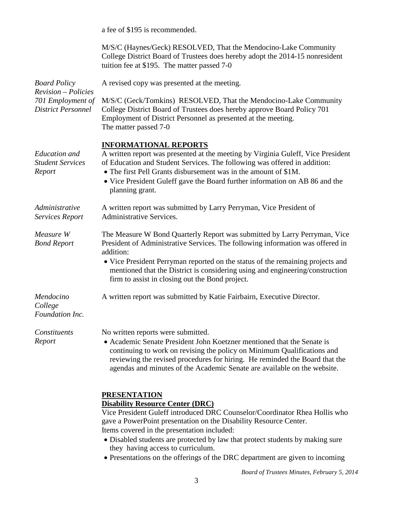|                                                                                                     | a fee of \$195 is recommended.                                                                                                                                                                                                                                                                                                                                                                 |  |  |
|-----------------------------------------------------------------------------------------------------|------------------------------------------------------------------------------------------------------------------------------------------------------------------------------------------------------------------------------------------------------------------------------------------------------------------------------------------------------------------------------------------------|--|--|
|                                                                                                     | M/S/C (Haynes/Geck) RESOLVED, That the Mendocino-Lake Community<br>College District Board of Trustees does hereby adopt the 2014-15 nonresident<br>tuition fee at \$195. The matter passed 7-0                                                                                                                                                                                                 |  |  |
| <b>Board Policy</b><br><b>Revision</b> – Policies<br>701 Employment of<br><b>District Personnel</b> | A revised copy was presented at the meeting.                                                                                                                                                                                                                                                                                                                                                   |  |  |
|                                                                                                     | M/S/C (Geck/Tomkins) RESOLVED, That the Mendocino-Lake Community<br>College District Board of Trustees does hereby approve Board Policy 701<br>Employment of District Personnel as presented at the meeting.<br>The matter passed 7-0                                                                                                                                                          |  |  |
| <b>Education</b> and<br><b>Student Services</b><br>Report                                           | <b>INFORMATIONAL REPORTS</b><br>A written report was presented at the meeting by Virginia Guleff, Vice President<br>of Education and Student Services. The following was offered in addition:<br>• The first Pell Grants disbursement was in the amount of \$1M.<br>• Vice President Guleff gave the Board further information on AB 86 and the<br>planning grant.                             |  |  |
| Administrative<br><b>Services Report</b>                                                            | A written report was submitted by Larry Perryman, Vice President of<br><b>Administrative Services.</b>                                                                                                                                                                                                                                                                                         |  |  |
| Measure W<br><b>Bond Report</b>                                                                     | The Measure W Bond Quarterly Report was submitted by Larry Perryman, Vice<br>President of Administrative Services. The following information was offered in<br>addition:<br>• Vice President Perryman reported on the status of the remaining projects and<br>mentioned that the District is considering using and engineering/construction<br>firm to assist in closing out the Bond project. |  |  |
| Mendocino<br>College<br>Foundation Inc.                                                             | A written report was submitted by Katie Fairbairn, Executive Director.                                                                                                                                                                                                                                                                                                                         |  |  |
| Constituents<br>Report                                                                              | No written reports were submitted.<br>• Academic Senate President John Koetzner mentioned that the Senate is<br>continuing to work on revising the policy on Minimum Qualifications and<br>reviewing the revised procedures for hiring. He reminded the Board that the<br>agendas and minutes of the Academic Senate are available on the website.                                             |  |  |

# **PRESENTATION**

# **Disability Resource Center (DRC)**

Vice President Guleff introduced DRC Counselor/Coordinator Rhea Hollis who gave a PowerPoint presentation on the Disability Resource Center. Items covered in the presentation included:

- Disabled students are protected by law that protect students by making sure they having access to curriculum.
- Presentations on the offerings of the DRC department are given to incoming